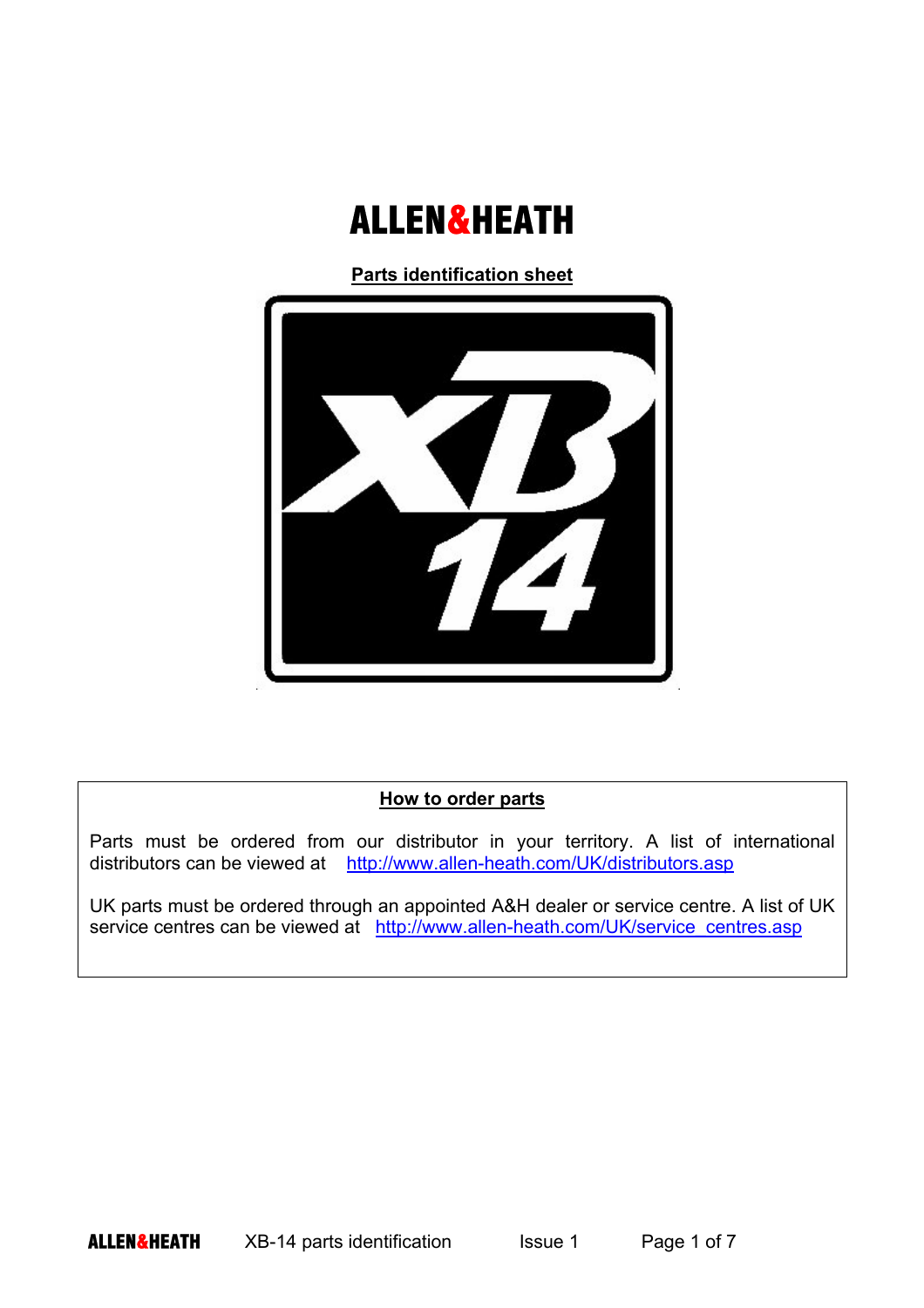# **ALLEN&HEATH**

**Parts identification sheet**



#### **How to order parts**

Parts must be ordered from our distributor in your territory. A list of international distributors can be viewed at http://www.allen-heath.com/UK/distributors.asp

UK parts must be ordered through an appointed A&H dealer or service centre. A list of UK service centres can be viewed at http://www.allen-heath.com/UK/service\_centres.asp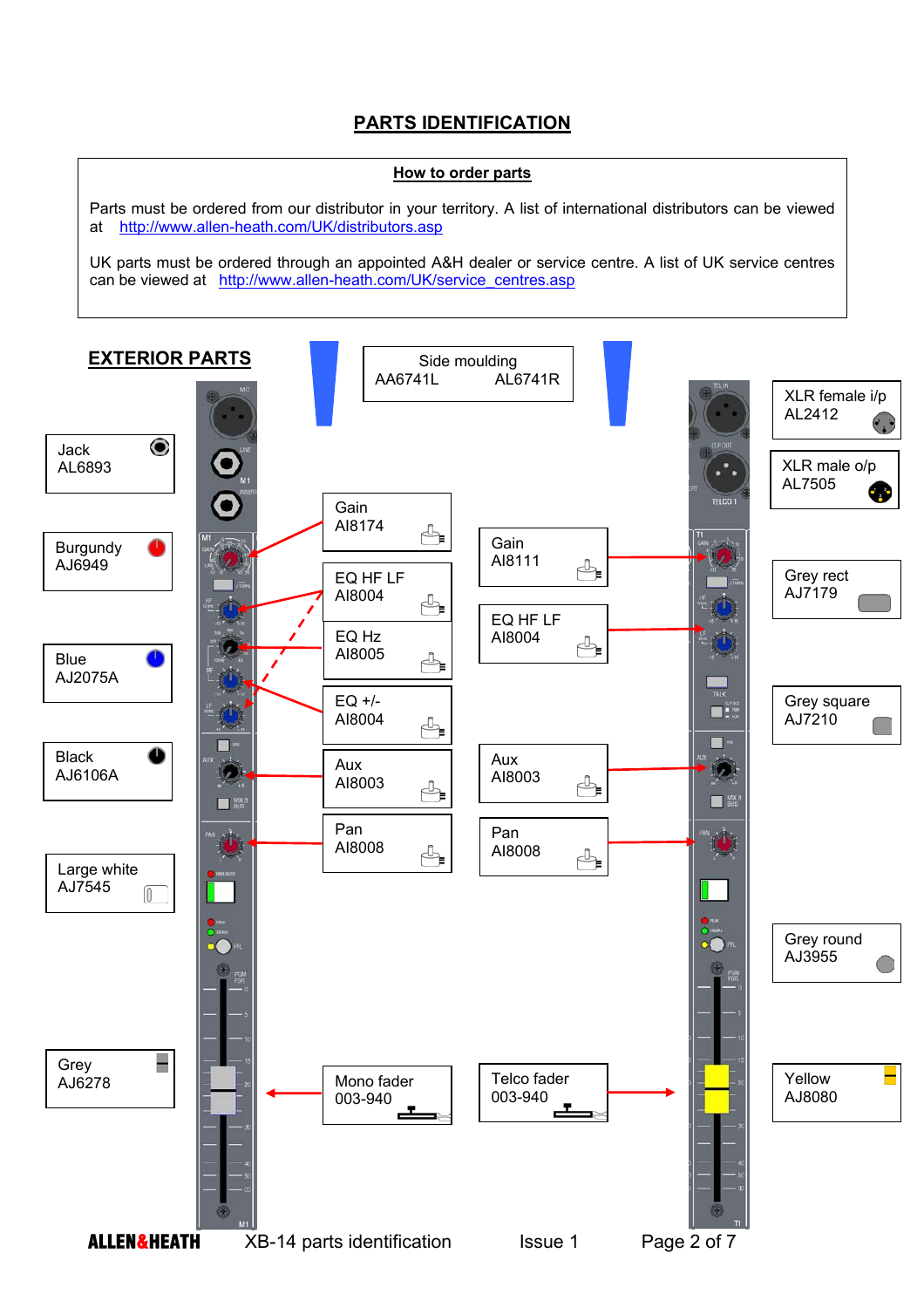## **PARTS IDENTIFICATION**

#### **How to order parts**

Parts must be ordered from our distributor in your territory. A list of international distributors can be viewed at http://www.allen-heath.com/UK/distributors.asp

UK parts must be ordered through an appointed A&H dealer or service centre. A list of UK service centres can be viewed at http://www.allen-heath.com/UK/service\_centres.asp

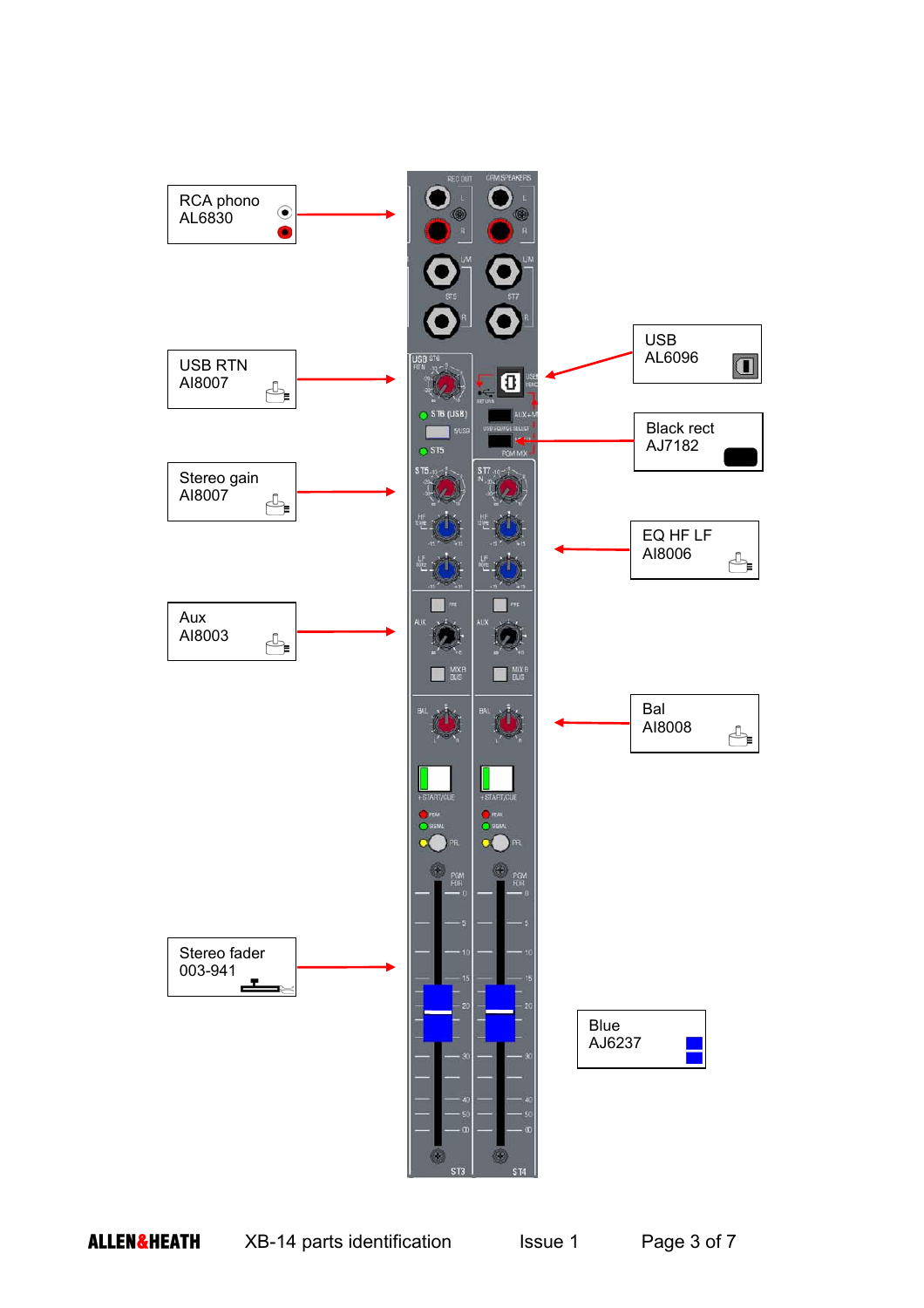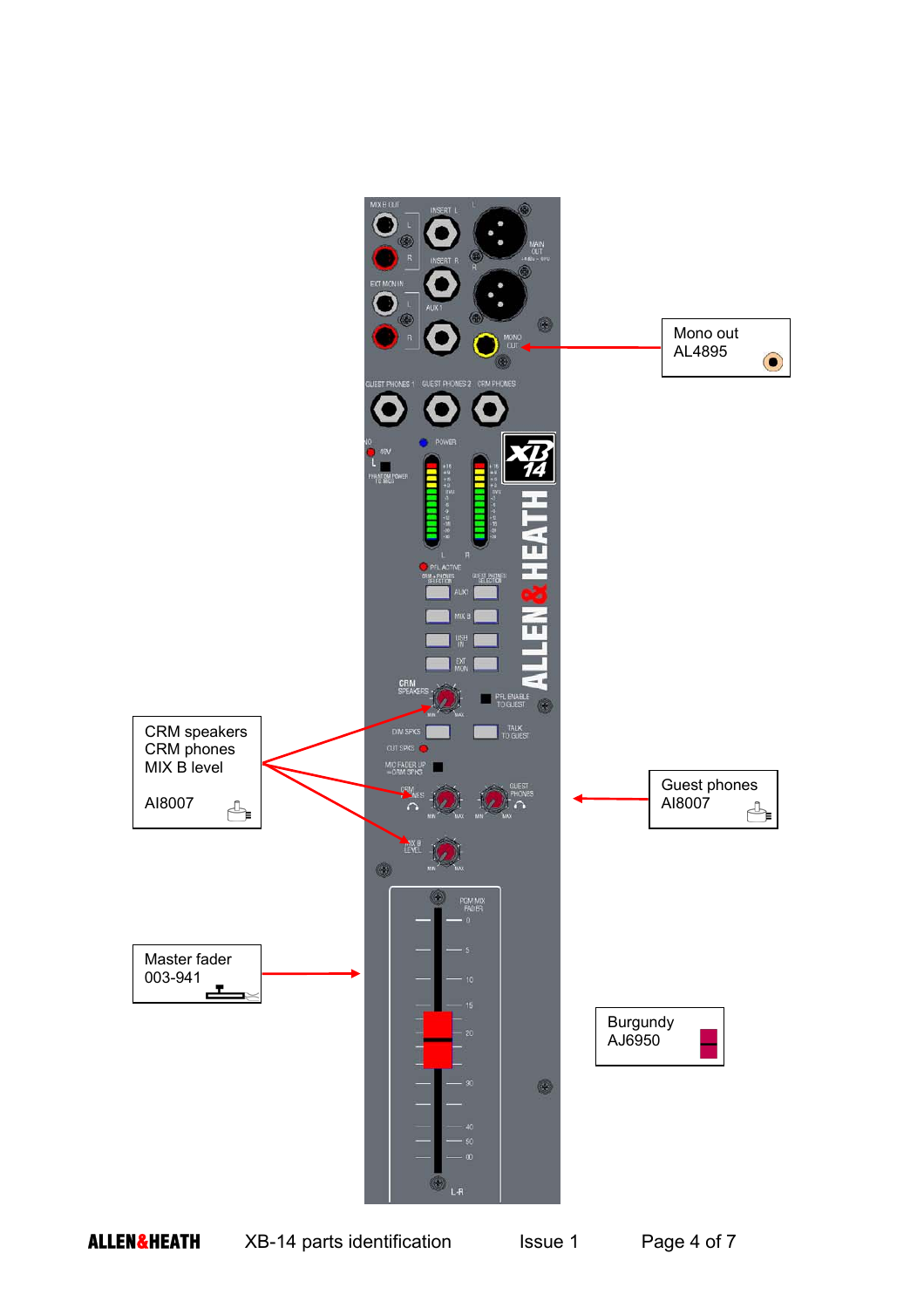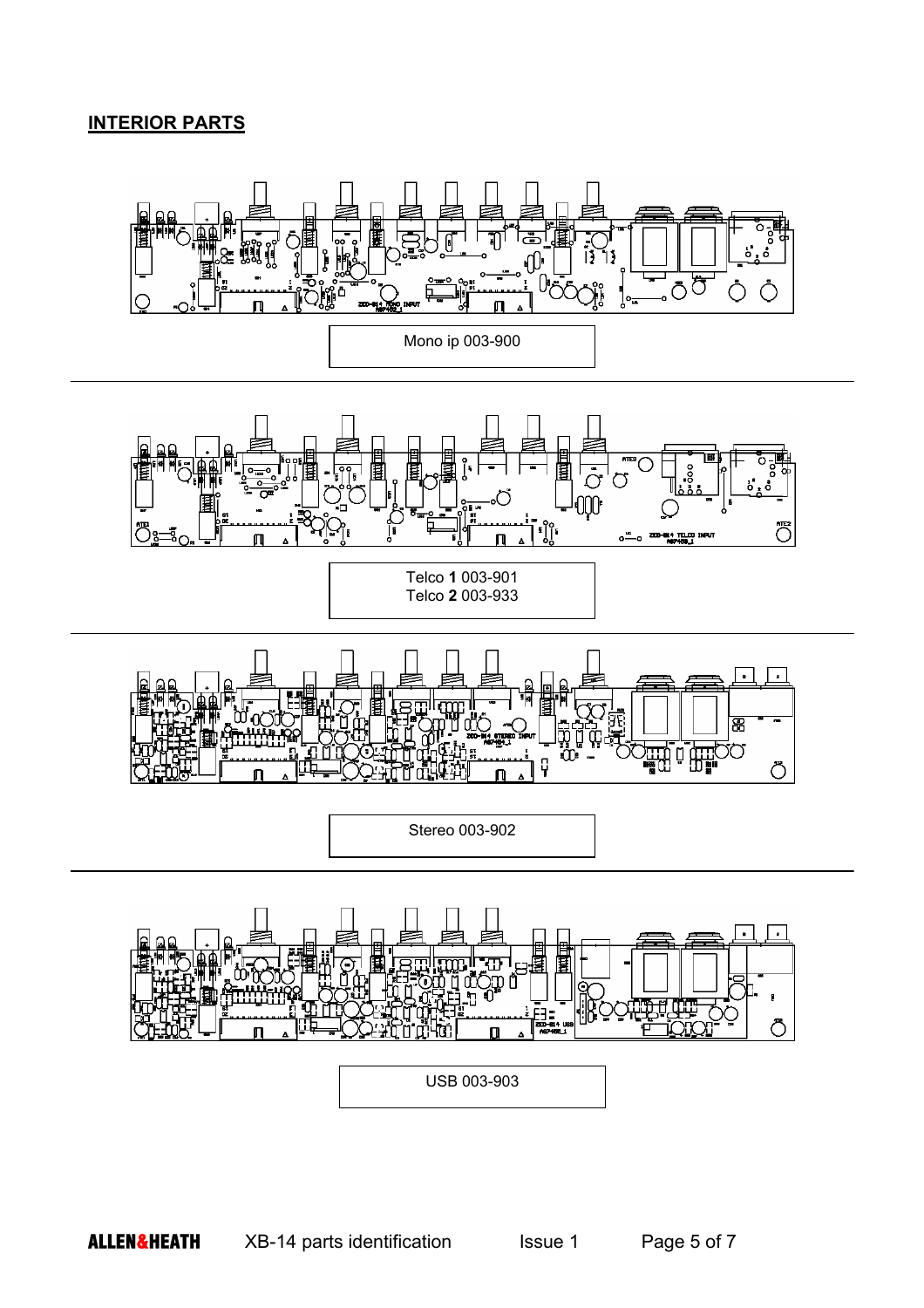## **INTERIOR PARTS**

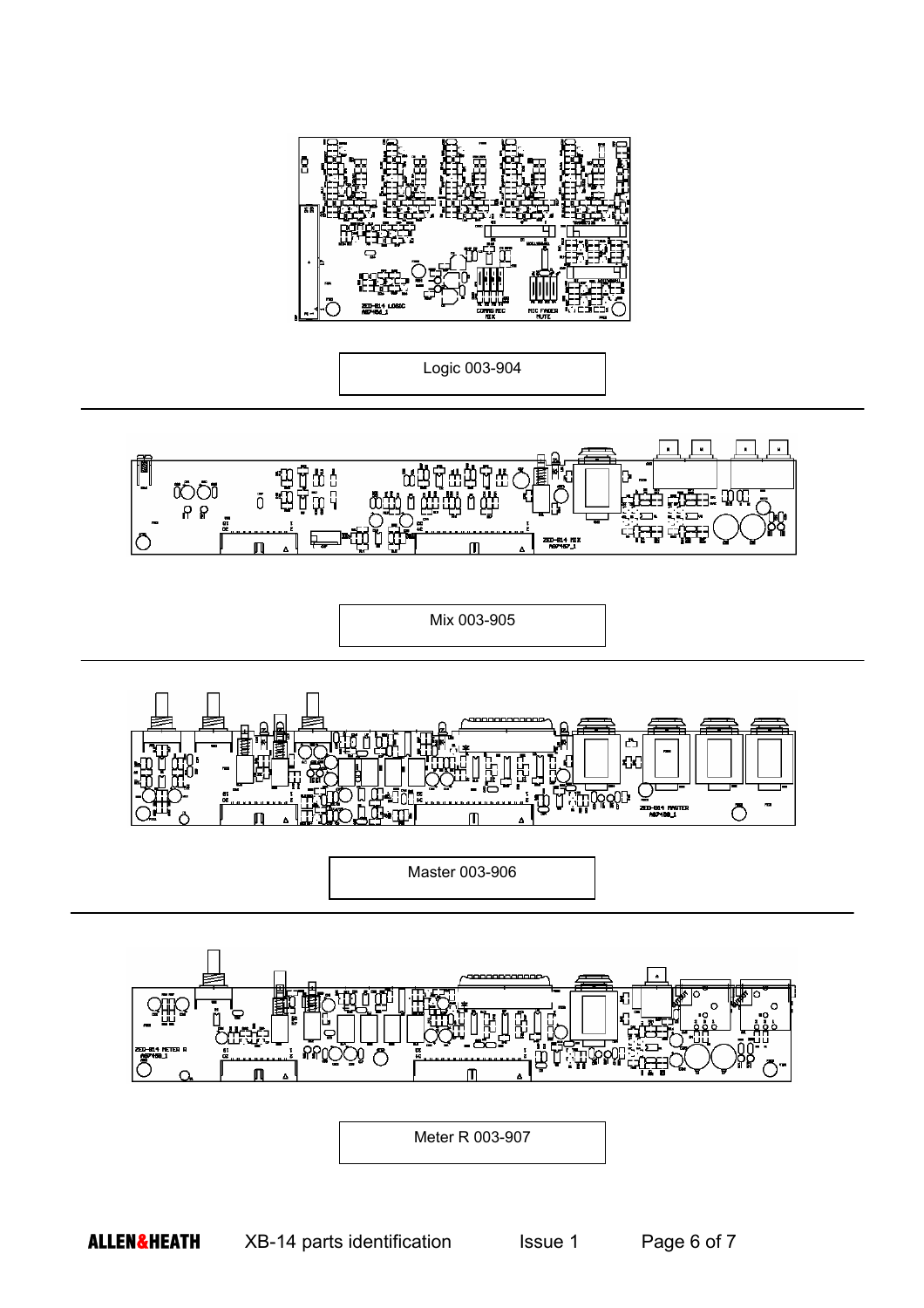

Logic 003-904



Mix 003-905



Master 003-906



Meter R 003-907